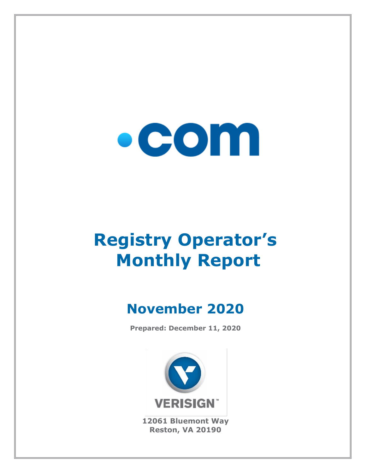

# **Registry Operator's Monthly Report**

## **November 2020**

**Prepared: December 11, 2020**



**12061 Bluemont Way Reston, VA 20190**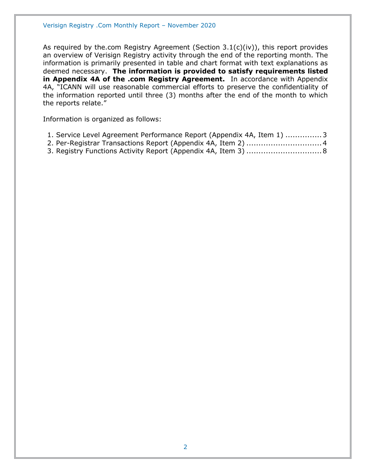As required by the.com Registry Agreement (Section 3.1(c)(iv)), this report provides an overview of Verisign Registry activity through the end of the reporting month. The information is primarily presented in table and chart format with text explanations as deemed necessary. **The information is provided to satisfy requirements listed in Appendix 4A of the .com Registry Agreement.** In accordance with Appendix 4A, "ICANN will use reasonable commercial efforts to preserve the confidentiality of the information reported until three (3) months after the end of the month to which the reports relate."

Information is organized as follows:

- [1. Service Level Agreement Performance Report \(Appendix 4A, Item 1\)](#page-2-0) ...............3
- [2. Per-Registrar Transactions Report \(Appendix 4A,](#page-3-0) Item 2) ...............................4
- [3. Registry Functions Activity Report \(Appendix 4A, Item 3\)](#page-7-0) ...............................8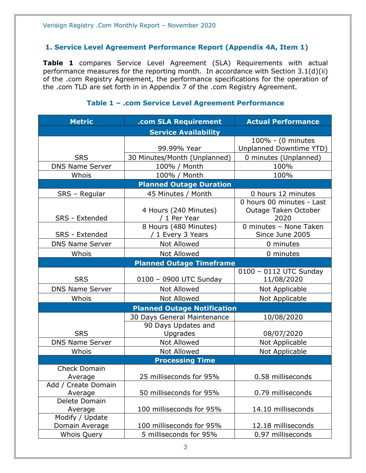#### <span id="page-2-0"></span>**1. Service Level Agreement Performance Report (Appendix 4A, Item 1)**

**Table 1** compares Service Level Agreement (SLA) Requirements with actual performance measures for the reporting month. In accordance with Section 3.1(d)(ii) of the .com Registry Agreement, the performance specifications for the operation of the .com TLD are set forth in in Appendix 7 of the .com Registry Agreement.

#### **Metric .com SLA Requirement Actual Performance Service Availability** SRS 99.99% Year 100% - (0 minutes Unplanned Downtime YTD) 30 Minutes/Month (Unplanned) | 0 minutes (Unplanned) DNS Name Server | 100% / Month | 100% Whois 100% / Month 100% 100% **Planned Outage Duration** SRS – Regular | 45 Minutes / Month | 0 hours 12 minutes SRS - Extended 4 Hours (240 Minutes) / 1 Per Year 0 hours 00 minutes - Last Outage Taken October 2020 SRS - Extended 8 Hours (480 Minutes) / 1 Every 3 Years 0 minutes – None Taken Since June 2005 DNS Name Server  $\begin{array}{ccc} \hline \text{Not} & \text{Allowed} & \text{O} & \text{O} \\ \hline \end{array}$ Whois  $\vert$  Not Allowed  $\vert$  0 minutes **Planned Outage Timeframe** SRS | 0100 – 0900 UTC Sunday 0100 – 0112 UTC Sunday 11/08/2020 DNS Name Server Not Allowed Not Applicable Whois | Not Allowed | Not Applicable **Planned Outage Notification SRS** 30 Days General Maintenance 10/08/2020 90 Days Updates and Upgrades 108/07/2020 DNS Name Server | Not Allowed | Not Applicable Whois | Not Allowed | Not Applicable **Processing Time** Check Domain Average 25 milliseconds for 95% 0.58 milliseconds Add / Create Domain Average 1.1 50 milliseconds for 95% 1.1 0.79 milliseconds Delete Domain Average 100 milliseconds for 95% 14.10 milliseconds Modify / Update Domain Average 100 milliseconds for 95% 12.18 milliseconds Whois Query 5 milliseconds for 95% 0.97 milliseconds

#### **Table 1 – .com Service Level Agreement Performance**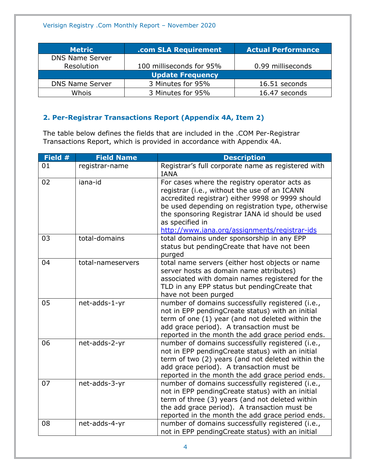| <b>Metric</b>           | .com SLA Requirement     | <b>Actual Performance</b> |  |
|-------------------------|--------------------------|---------------------------|--|
| <b>DNS Name Server</b>  |                          |                           |  |
| Resolution              | 100 milliseconds for 95% | 0.99 milliseconds         |  |
| <b>Update Frequency</b> |                          |                           |  |
| <b>DNS Name Server</b>  | 3 Minutes for 95%        | 16.51 seconds             |  |
| Whois                   | 3 Minutes for 95%        | 16.47 seconds             |  |

### <span id="page-3-0"></span>**2. Per-Registrar Transactions Report (Appendix 4A, Item 2)**

The table below defines the fields that are included in the .COM Per-Registrar Transactions Report, which is provided in accordance with Appendix 4A.

| Field # | <b>Field Name</b> | <b>Description</b>                                                                                                                                                                                                                                                                                                            |
|---------|-------------------|-------------------------------------------------------------------------------------------------------------------------------------------------------------------------------------------------------------------------------------------------------------------------------------------------------------------------------|
| 01      | registrar-name    | Registrar's full corporate name as registered with<br><b>IANA</b>                                                                                                                                                                                                                                                             |
| 02      | iana-id           | For cases where the registry operator acts as<br>registrar (i.e., without the use of an ICANN<br>accredited registrar) either 9998 or 9999 should<br>be used depending on registration type, otherwise<br>the sponsoring Registrar IANA id should be used<br>as specified in<br>http://www.iana.org/assignments/registrar-ids |
| 03      | total-domains     | total domains under sponsorship in any EPP<br>status but pendingCreate that have not been<br>purged                                                                                                                                                                                                                           |
| 04      | total-nameservers | total name servers (either host objects or name<br>server hosts as domain name attributes)<br>associated with domain names registered for the<br>TLD in any EPP status but pendingCreate that<br>have not been purged                                                                                                         |
| 05      | net-adds-1-yr     | number of domains successfully registered (i.e.,<br>not in EPP pendingCreate status) with an initial<br>term of one (1) year (and not deleted within the<br>add grace period). A transaction must be<br>reported in the month the add grace period ends.                                                                      |
| 06      | net-adds-2-yr     | number of domains successfully registered (i.e.,<br>not in EPP pendingCreate status) with an initial<br>term of two (2) years (and not deleted within the<br>add grace period). A transaction must be<br>reported in the month the add grace period ends.                                                                     |
| 07      | net-adds-3-yr     | number of domains successfully registered (i.e.,<br>not in EPP pendingCreate status) with an initial<br>term of three (3) years (and not deleted within<br>the add grace period). A transaction must be<br>reported in the month the add grace period ends.                                                                   |
| 08      | net-adds-4-yr     | number of domains successfully registered (i.e.,<br>not in EPP pendingCreate status) with an initial                                                                                                                                                                                                                          |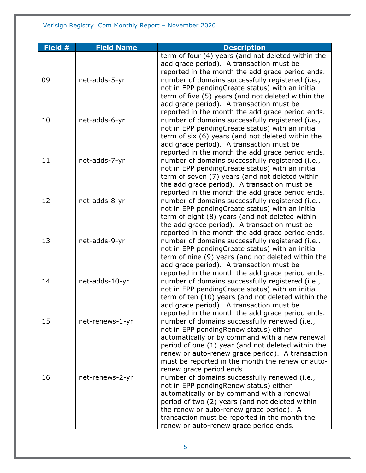| Field $#$ | <b>Field Name</b> | <b>Description</b>                                 |
|-----------|-------------------|----------------------------------------------------|
|           |                   | term of four (4) years (and not deleted within the |
|           |                   | add grace period). A transaction must be           |
|           |                   | reported in the month the add grace period ends.   |
| 09        | net-adds-5-yr     | number of domains successfully registered (i.e.,   |
|           |                   | not in EPP pendingCreate status) with an initial   |
|           |                   | term of five (5) years (and not deleted within the |
|           |                   | add grace period). A transaction must be           |
|           |                   | reported in the month the add grace period ends.   |
| 10        | net-adds-6-yr     | number of domains successfully registered (i.e.,   |
|           |                   | not in EPP pendingCreate status) with an initial   |
|           |                   | term of six (6) years (and not deleted within the  |
|           |                   | add grace period). A transaction must be           |
|           |                   | reported in the month the add grace period ends.   |
| 11        | net-adds-7-yr     | number of domains successfully registered (i.e.,   |
|           |                   | not in EPP pendingCreate status) with an initial   |
|           |                   | term of seven (7) years (and not deleted within    |
|           |                   | the add grace period). A transaction must be       |
|           |                   | reported in the month the add grace period ends.   |
| 12        | net-adds-8-yr     | number of domains successfully registered (i.e.,   |
|           |                   | not in EPP pendingCreate status) with an initial   |
|           |                   | term of eight (8) years (and not deleted within    |
|           |                   | the add grace period). A transaction must be       |
|           |                   | reported in the month the add grace period ends.   |
| 13        | net-adds-9-yr     | number of domains successfully registered (i.e.,   |
|           |                   | not in EPP pendingCreate status) with an initial   |
|           |                   | term of nine (9) years (and not deleted within the |
|           |                   | add grace period). A transaction must be           |
|           |                   | reported in the month the add grace period ends.   |
| 14        | net-adds-10-yr    | number of domains successfully registered (i.e.,   |
|           |                   | not in EPP pendingCreate status) with an initial   |
|           |                   | term of ten (10) years (and not deleted within the |
|           |                   | add grace period). A transaction must be           |
|           |                   | reported in the month the add grace period ends.   |
| 15        | net-renews-1-yr   | number of domains successfully renewed (i.e.,      |
|           |                   | not in EPP pendingRenew status) either             |
|           |                   | automatically or by command with a new renewal     |
|           |                   | period of one (1) year (and not deleted within the |
|           |                   | renew or auto-renew grace period). A transaction   |
|           |                   | must be reported in the month the renew or auto-   |
|           |                   | renew grace period ends.                           |
| 16        | net-renews-2-yr   | number of domains successfully renewed (i.e.,      |
|           |                   | not in EPP pendingRenew status) either             |
|           |                   | automatically or by command with a renewal         |
|           |                   | period of two (2) years (and not deleted within    |
|           |                   | the renew or auto-renew grace period). A           |
|           |                   | transaction must be reported in the month the      |
|           |                   | renew or auto-renew grace period ends.             |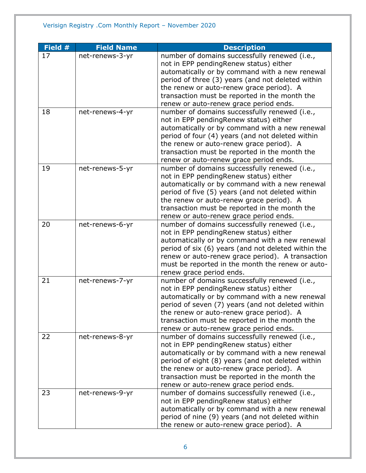| Field # | <b>Field Name</b> | <b>Description</b>                                                                                                                                                                                                                                                                                                                    |
|---------|-------------------|---------------------------------------------------------------------------------------------------------------------------------------------------------------------------------------------------------------------------------------------------------------------------------------------------------------------------------------|
| 17      | net-renews-3-yr   | number of domains successfully renewed (i.e.,<br>not in EPP pendingRenew status) either<br>automatically or by command with a new renewal<br>period of three (3) years (and not deleted within                                                                                                                                        |
|         |                   | the renew or auto-renew grace period). A<br>transaction must be reported in the month the<br>renew or auto-renew grace period ends.                                                                                                                                                                                                   |
| 18      | net-renews-4-yr   | number of domains successfully renewed (i.e.,<br>not in EPP pendingRenew status) either<br>automatically or by command with a new renewal<br>period of four (4) years (and not deleted within<br>the renew or auto-renew grace period). A<br>transaction must be reported in the month the<br>renew or auto-renew grace period ends.  |
| 19      | net-renews-5-yr   | number of domains successfully renewed (i.e.,<br>not in EPP pendingRenew status) either<br>automatically or by command with a new renewal<br>period of five (5) years (and not deleted within<br>the renew or auto-renew grace period). A<br>transaction must be reported in the month the<br>renew or auto-renew grace period ends.  |
| 20      | net-renews-6-yr   | number of domains successfully renewed (i.e.,<br>not in EPP pendingRenew status) either<br>automatically or by command with a new renewal<br>period of six (6) years (and not deleted within the<br>renew or auto-renew grace period). A transaction<br>must be reported in the month the renew or auto-<br>renew grace period ends.  |
| 21      | net-renews-7-yr   | number of domains successfully renewed (i.e.,<br>not in EPP pendingRenew status) either<br>automatically or by command with a new renewal<br>period of seven (7) years (and not deleted within<br>the renew or auto-renew grace period). A<br>transaction must be reported in the month the<br>renew or auto-renew grace period ends. |
| 22      | net-renews-8-yr   | number of domains successfully renewed (i.e.,<br>not in EPP pendingRenew status) either<br>automatically or by command with a new renewal<br>period of eight (8) years (and not deleted within<br>the renew or auto-renew grace period). A<br>transaction must be reported in the month the<br>renew or auto-renew grace period ends. |
| 23      | net-renews-9-yr   | number of domains successfully renewed (i.e.,<br>not in EPP pendingRenew status) either<br>automatically or by command with a new renewal<br>period of nine (9) years (and not deleted within<br>the renew or auto-renew grace period). A                                                                                             |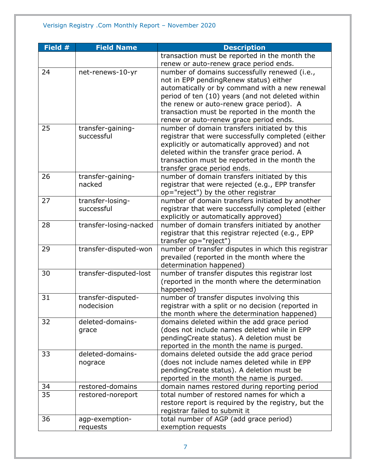| Field # | <b>Field Name</b>      | <b>Description</b>                                  |
|---------|------------------------|-----------------------------------------------------|
|         |                        | transaction must be reported in the month the       |
|         |                        | renew or auto-renew grace period ends.              |
| 24      | net-renews-10-yr       | number of domains successfully renewed (i.e.,       |
|         |                        | not in EPP pendingRenew status) either              |
|         |                        | automatically or by command with a new renewal      |
|         |                        | period of ten (10) years (and not deleted within    |
|         |                        | the renew or auto-renew grace period). A            |
|         |                        | transaction must be reported in the month the       |
|         |                        | renew or auto-renew grace period ends.              |
| 25      | transfer-gaining-      | number of domain transfers initiated by this        |
|         | successful             | registrar that were successfully completed (either  |
|         |                        | explicitly or automatically approved) and not       |
|         |                        | deleted within the transfer grace period. A         |
|         |                        | transaction must be reported in the month the       |
|         |                        | transfer grace period ends.                         |
| 26      | transfer-gaining-      | number of domain transfers initiated by this        |
|         | nacked                 | registrar that were rejected (e.g., EPP transfer    |
|         |                        | op="reject") by the other registrar                 |
| 27      | transfer-losing-       | number of domain transfers initiated by another     |
|         | successful             | registrar that were successfully completed (either  |
|         |                        | explicitly or automatically approved)               |
| 28      | transfer-losing-nacked | number of domain transfers initiated by another     |
|         |                        | registrar that this registrar rejected (e.g., EPP   |
|         |                        | transfer op="reject")                               |
| 29      | transfer-disputed-won  | number of transfer disputes in which this registrar |
|         |                        | prevailed (reported in the month where the          |
|         |                        | determination happened)                             |
| 30      | transfer-disputed-lost | number of transfer disputes this registrar lost     |
|         |                        | (reported in the month where the determination      |
|         |                        | happened)                                           |
| 31      | transfer-disputed-     | number of transfer disputes involving this          |
|         | nodecision             | registrar with a split or no decision (reported in  |
|         |                        | the month where the determination happened)         |
| 32      | deleted-domains-       | domains deleted within the add grace period         |
|         | grace                  | (does not include names deleted while in EPP        |
|         |                        | pendingCreate status). A deletion must be           |
|         |                        | reported in the month the name is purged.           |
| 33      | deleted-domains-       | domains deleted outside the add grace period        |
|         | nograce                | (does not include names deleted while in EPP        |
|         |                        | pendingCreate status). A deletion must be           |
|         |                        | reported in the month the name is purged.           |
| 34      | restored-domains       | domain names restored during reporting period       |
| 35      | restored-noreport      | total number of restored names for which a          |
|         |                        | restore report is required by the registry, but the |
|         |                        | registrar failed to submit it                       |
| 36      | agp-exemption-         | total number of AGP (add grace period)              |
|         | requests               | exemption requests                                  |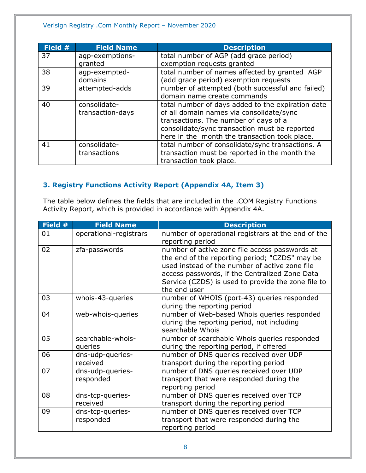#### Verisign Registry .Com Monthly Report – November 2020

| Field # | <b>Field Name</b> | <b>Description</b>                                |
|---------|-------------------|---------------------------------------------------|
| 37      | agp-exemptions-   | total number of AGP (add grace period)            |
|         | granted           | exemption requests granted                        |
| 38      | agp-exempted-     | total number of names affected by granted AGP     |
|         | domains           | (add grace period) exemption requests             |
| 39      | attempted-adds    | number of attempted (both successful and failed)  |
|         |                   | domain name create commands                       |
| 40      | consolidate-      | total number of days added to the expiration date |
|         | transaction-days  | of all domain names via consolidate/sync          |
|         |                   | transactions. The number of days of a             |
|         |                   | consolidate/sync transaction must be reported     |
|         |                   | here in the month the transaction took place.     |
| 41      | consolidate-      | total number of consolidate/sync transactions. A  |
|         | transactions      | transaction must be reported in the month the     |
|         |                   | transaction took place.                           |

#### <span id="page-7-0"></span>**3. Registry Functions Activity Report (Appendix 4A, Item 3)**

The table below defines the fields that are included in the .COM Registry Functions Activity Report, which is provided in accordance with Appendix 4A.

| Field # | <b>Field Name</b>             | <b>Description</b>                                                                                                                                                                                                                                                         |
|---------|-------------------------------|----------------------------------------------------------------------------------------------------------------------------------------------------------------------------------------------------------------------------------------------------------------------------|
| 01      | operational-registrars        | number of operational registrars at the end of the<br>reporting period                                                                                                                                                                                                     |
| 02      | zfa-passwords                 | number of active zone file access passwords at<br>the end of the reporting period; "CZDS" may be<br>used instead of the number of active zone file<br>access passwords, if the Centralized Zone Data<br>Service (CZDS) is used to provide the zone file to<br>the end user |
| 03      | whois-43-queries              | number of WHOIS (port-43) queries responded<br>during the reporting period                                                                                                                                                                                                 |
| 04      | web-whois-queries             | number of Web-based Whois queries responded<br>during the reporting period, not including<br>searchable Whois                                                                                                                                                              |
| 05      | searchable-whois-<br>queries  | number of searchable Whois queries responded<br>during the reporting period, if offered                                                                                                                                                                                    |
| 06      | dns-udp-queries-<br>received  | number of DNS queries received over UDP<br>transport during the reporting period                                                                                                                                                                                           |
| 07      | dns-udp-queries-<br>responded | number of DNS queries received over UDP<br>transport that were responded during the<br>reporting period                                                                                                                                                                    |
| 08      | dns-tcp-queries-<br>received  | number of DNS queries received over TCP<br>transport during the reporting period                                                                                                                                                                                           |
| 09      | dns-tcp-queries-<br>responded | number of DNS queries received over TCP<br>transport that were responded during the<br>reporting period                                                                                                                                                                    |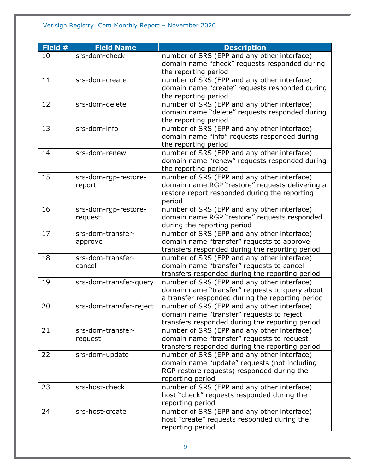#### Verisign Registry .Com Monthly Report – November 2020

| Field # | <b>Field Name</b>       | <b>Description</b>                               |
|---------|-------------------------|--------------------------------------------------|
| 10      | srs-dom-check           | number of SRS (EPP and any other interface)      |
|         |                         | domain name "check" requests responded during    |
|         |                         | the reporting period                             |
| 11      | srs-dom-create          | number of SRS (EPP and any other interface)      |
|         |                         | domain name "create" requests responded during   |
|         |                         | the reporting period                             |
| 12      | srs-dom-delete          | number of SRS (EPP and any other interface)      |
|         |                         | domain name "delete" requests responded during   |
|         |                         | the reporting period                             |
| 13      | srs-dom-info            | number of SRS (EPP and any other interface)      |
|         |                         | domain name "info" requests responded during     |
|         |                         | the reporting period                             |
| 14      | srs-dom-renew           | number of SRS (EPP and any other interface)      |
|         |                         | domain name "renew" requests responded during    |
|         |                         | the reporting period                             |
| 15      | srs-dom-rgp-restore-    | number of SRS (EPP and any other interface)      |
|         | report                  | domain name RGP "restore" requests delivering a  |
|         |                         | restore report responded during the reporting    |
|         |                         | period                                           |
| 16      | srs-dom-rgp-restore-    | number of SRS (EPP and any other interface)      |
|         | request                 | domain name RGP "restore" requests responded     |
|         |                         | during the reporting period                      |
| 17      | srs-dom-transfer-       | number of SRS (EPP and any other interface)      |
|         | approve                 | domain name "transfer" requests to approve       |
|         |                         | transfers responded during the reporting period  |
| 18      | srs-dom-transfer-       | number of SRS (EPP and any other interface)      |
|         | cancel                  | domain name "transfer" requests to cancel        |
|         |                         | transfers responded during the reporting period  |
| 19      | srs-dom-transfer-query  | number of SRS (EPP and any other interface)      |
|         |                         | domain name "transfer" requests to query about   |
|         |                         | a transfer responded during the reporting period |
| 20      | srs-dom-transfer-reject | number of SRS (EPP and any other interface)      |
|         |                         | domain name "transfer" requests to reject        |
|         |                         | transfers responded during the reporting period  |
| 21      | srs-dom-transfer-       | number of SRS (EPP and any other interface)      |
|         | request                 | domain name "transfer" requests to request       |
|         |                         | transfers responded during the reporting period  |
| 22      | srs-dom-update          | number of SRS (EPP and any other interface)      |
|         |                         | domain name "update" requests (not including     |
|         |                         | RGP restore requests) responded during the       |
|         |                         | reporting period                                 |
| 23      | srs-host-check          | number of SRS (EPP and any other interface)      |
|         |                         | host "check" requests responded during the       |
|         |                         | reporting period                                 |
| 24      | srs-host-create         | number of SRS (EPP and any other interface)      |
|         |                         | host "create" requests responded during the      |
|         |                         | reporting period                                 |